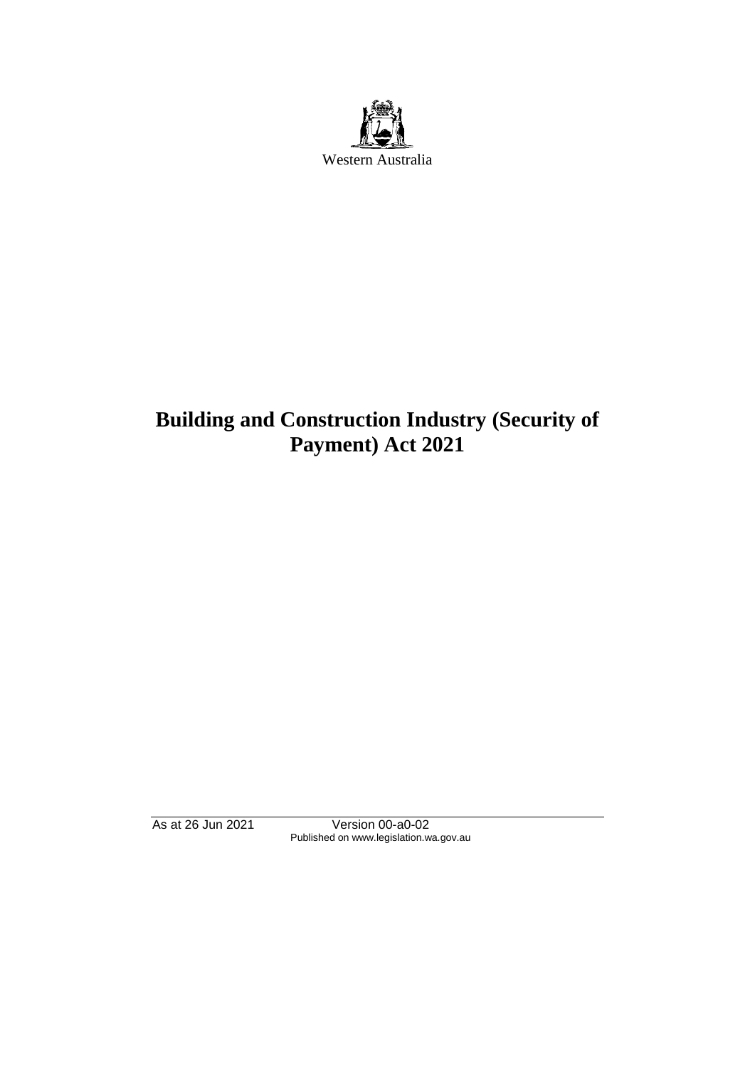

# **Building and Construction Industry (Security of Payment) Act 2021**

As at 26 Jun 2021 Version 00-a0-02 Published on www.legislation.wa.gov.au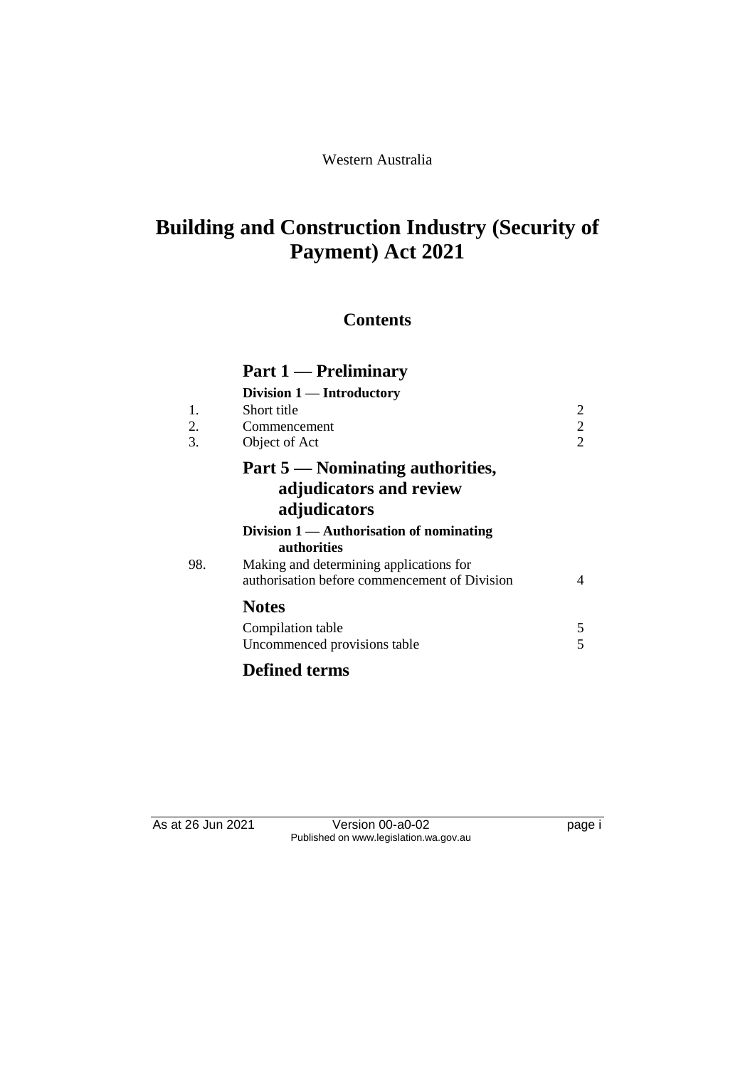# **Building and Construction Industry (Security of Payment) Act 2021**

## **Contents**

|     | Part 1 — Preliminary                                                                     |                |
|-----|------------------------------------------------------------------------------------------|----------------|
|     | Division 1 — Introductory                                                                |                |
| 1.  | Short title                                                                              | $\overline{c}$ |
| 2.  | Commencement                                                                             | $\overline{c}$ |
| 3.  | Object of Act                                                                            | $\overline{2}$ |
|     | Part 5 — Nominating authorities,                                                         |                |
|     | adjudicators and review                                                                  |                |
|     | adjudicators                                                                             |                |
|     | Division $1 -$ Authorisation of nominating<br>authorities                                |                |
| 98. | Making and determining applications for<br>authorisation before commencement of Division | 4              |
|     | <b>Notes</b>                                                                             |                |
|     | Compilation table                                                                        |                |
|     | Uncommenced provisions table                                                             |                |

## **Defined terms**

As at 26 Jun 2021 Version 00-a0-02 Page i Published on www.legislation.wa.gov.au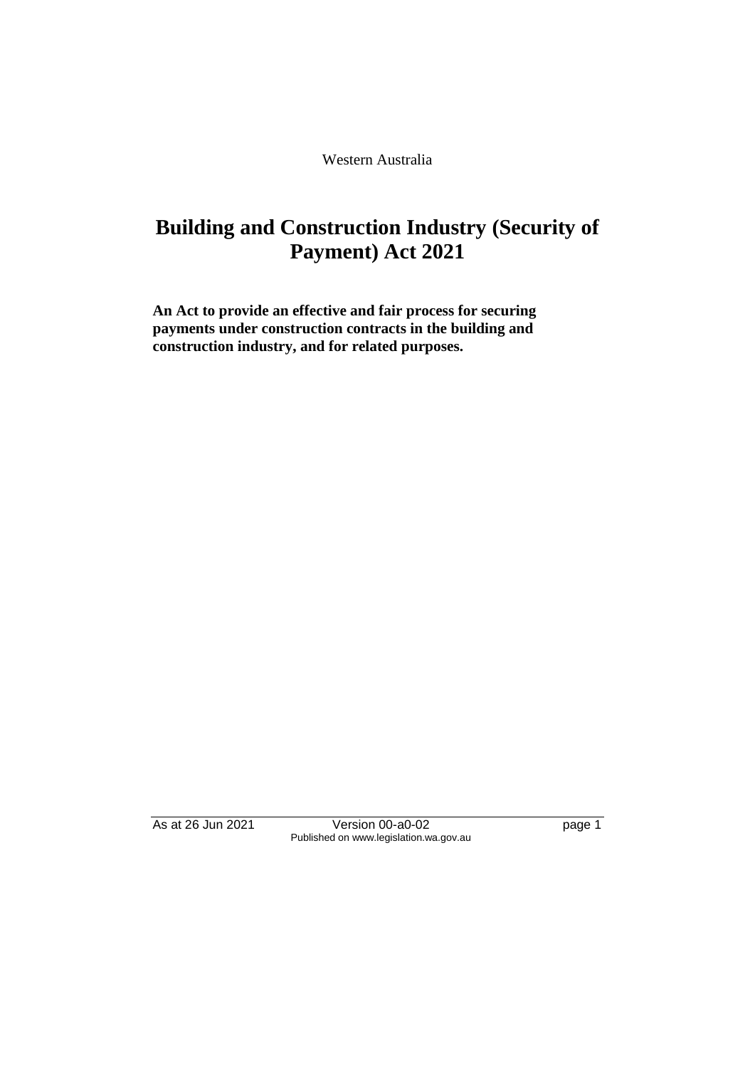Western Australia

## **Building and Construction Industry (Security of Payment) Act 2021**

**An Act to provide an effective and fair process for securing payments under construction contracts in the building and construction industry, and for related purposes.**

As at 26 Jun 2021 Version 00-a0-02 Page 1 Published on www.legislation.wa.gov.au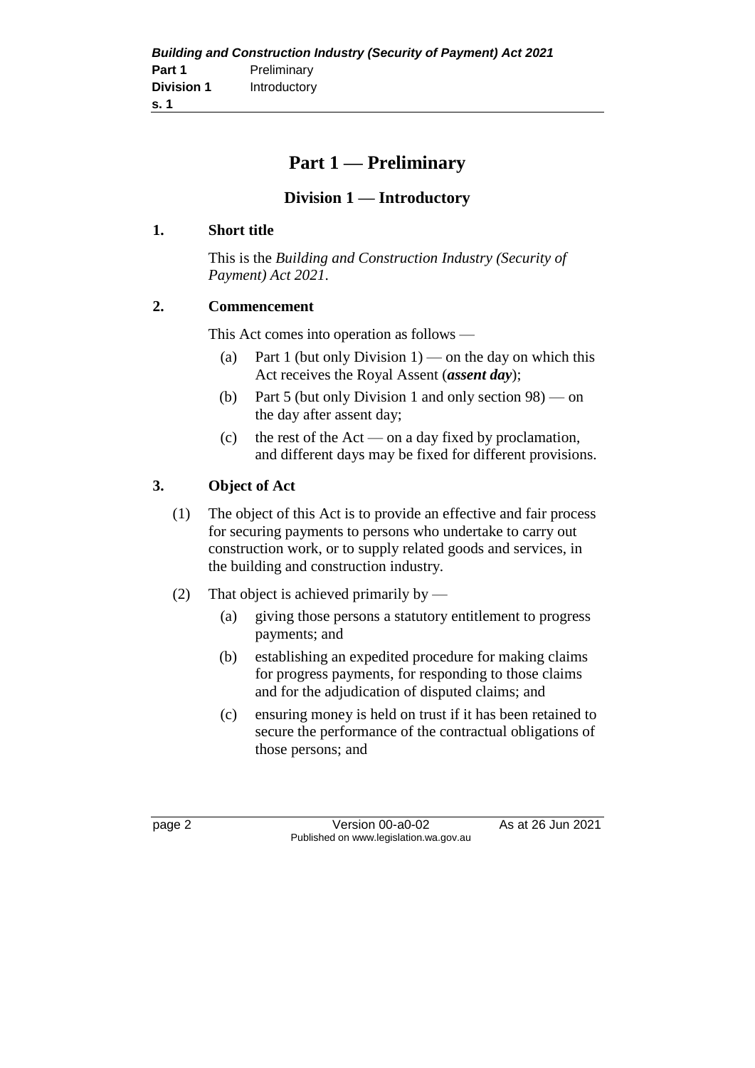|                   | <b>Building and Construction Industry (Security of Payment) Act 2021</b> |
|-------------------|--------------------------------------------------------------------------|
| Part 1            | Preliminary                                                              |
| <b>Division 1</b> | Introductory                                                             |
| s. 1              |                                                                          |

## **Part 1 — Preliminary**

#### **Division 1 — Introductory**

#### **1. Short title**

This is the *Building and Construction Industry (Security of Payment) Act 2021*.

#### **2. Commencement**

This Act comes into operation as follows —

- (a) Part 1 (but only Division  $1$ ) on the day on which this Act receives the Royal Assent (*assent day*);
- (b) Part 5 (but only Division 1 and only section 98) on the day after assent day;
- (c) the rest of the Act on a day fixed by proclamation, and different days may be fixed for different provisions.

#### **3. Object of Act**

- (1) The object of this Act is to provide an effective and fair process for securing payments to persons who undertake to carry out construction work, or to supply related goods and services, in the building and construction industry.
- (2) That object is achieved primarily by
	- (a) giving those persons a statutory entitlement to progress payments; and
	- (b) establishing an expedited procedure for making claims for progress payments, for responding to those claims and for the adjudication of disputed claims; and
	- (c) ensuring money is held on trust if it has been retained to secure the performance of the contractual obligations of those persons; and

page 2 Version 00-a0-02 As at 26 Jun 2021 Published on www.legislation.wa.gov.au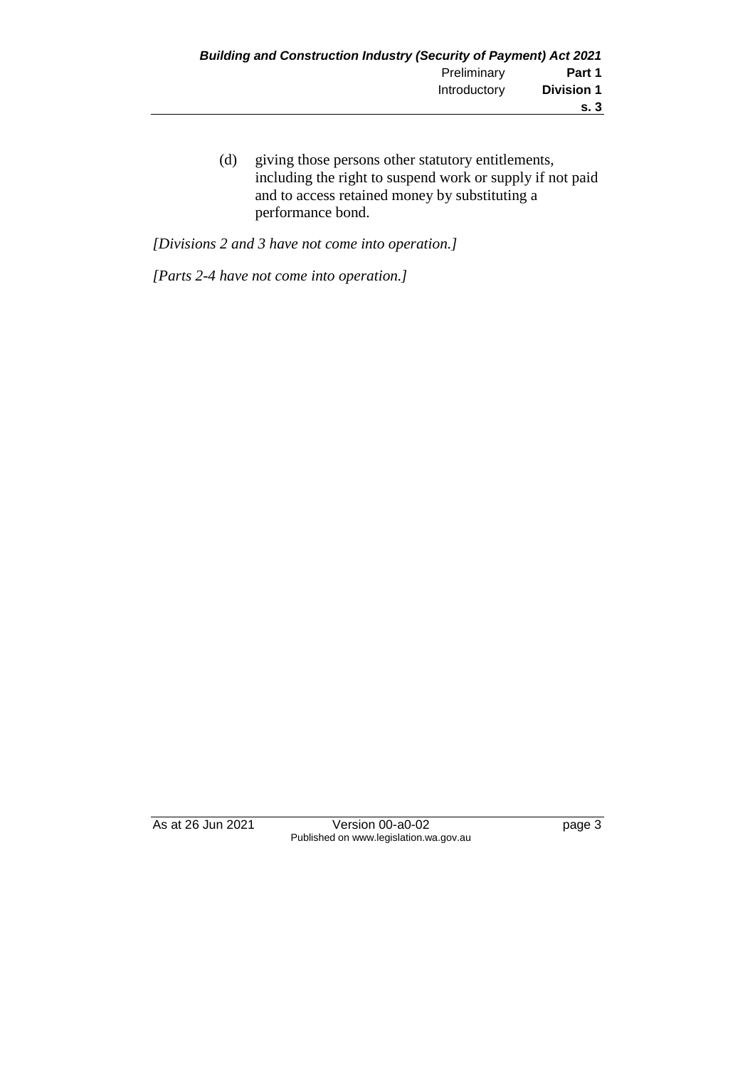(d) giving those persons other statutory entitlements, including the right to suspend work or supply if not paid and to access retained money by substituting a performance bond.

*[Divisions 2 and 3 have not come into operation.]*

*[Parts 2-4 have not come into operation.]*

As at 26 Jun 2021 Version 00-a0-02 Page 3 Published on www.legislation.wa.gov.au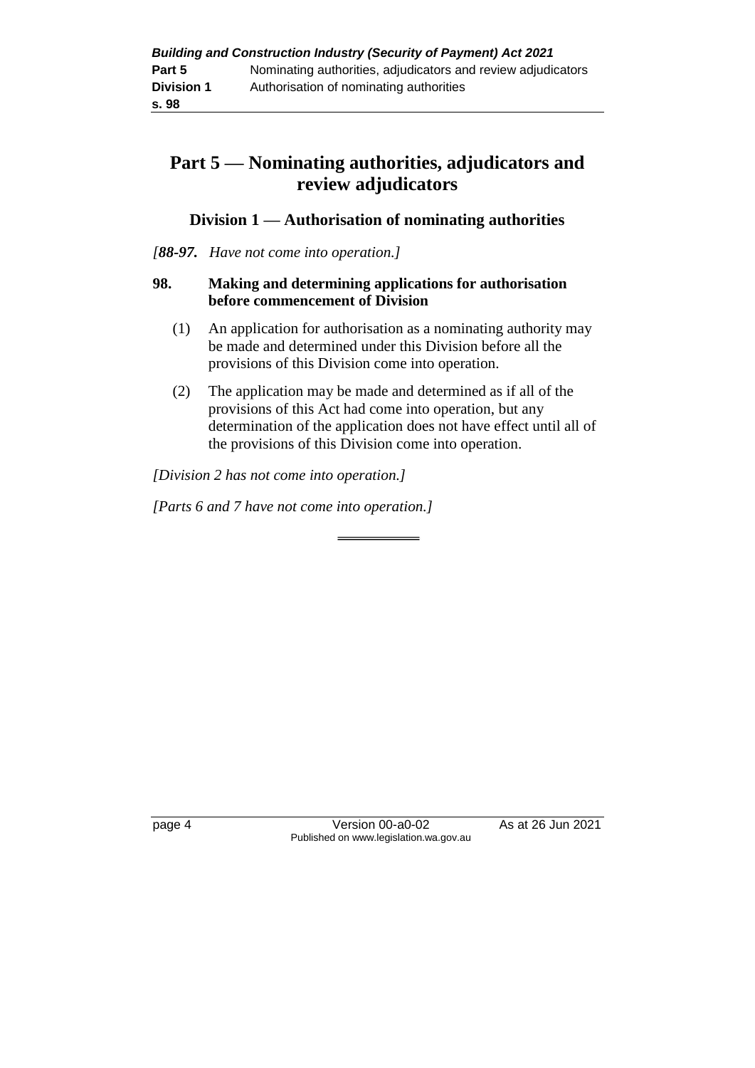## **Part 5 — Nominating authorities, adjudicators and review adjudicators**

#### **Division 1 — Authorisation of nominating authorities**

#### *[88-97. Have not come into operation.]*

#### **98. Making and determining applications for authorisation before commencement of Division**

- (1) An application for authorisation as a nominating authority may be made and determined under this Division before all the provisions of this Division come into operation.
- (2) The application may be made and determined as if all of the provisions of this Act had come into operation, but any determination of the application does not have effect until all of the provisions of this Division come into operation.

*[Division 2 has not come into operation.]*

*[Parts 6 and 7 have not come into operation.]*

page 4 Version 00-a0-02 As at 26 Jun 2021 Published on www.legislation.wa.gov.au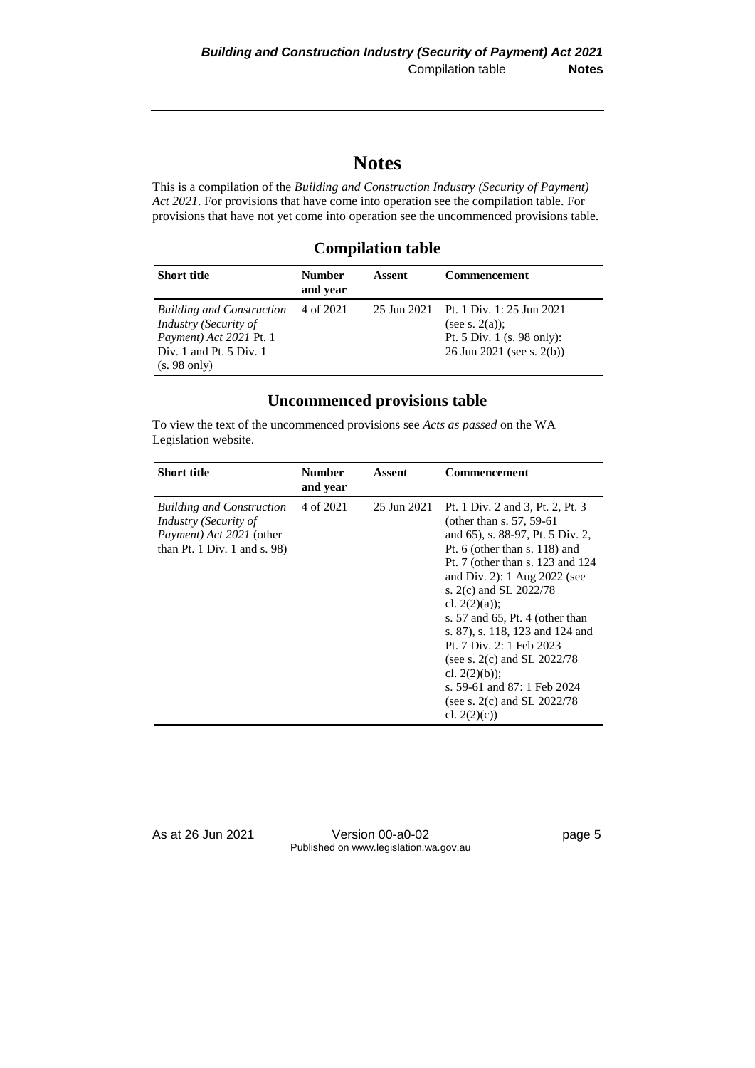## **Notes**

This is a compilation of the *Building and Construction Industry (Security of Payment) Act 2021*. For provisions that have come into operation see the compilation table. For provisions that have not yet come into operation see the uncommenced provisions table.

#### **Compilation table**

| <b>Short title</b>                                                                                                | <b>Number</b><br>and year | Assent | <b>Commencement</b>                                                                                                   |
|-------------------------------------------------------------------------------------------------------------------|---------------------------|--------|-----------------------------------------------------------------------------------------------------------------------|
| <b>Building and Construction</b><br>Industry (Security of<br>Payment) Act 2021 Pt. 1<br>Div. 1 and Pt. $5$ Div. 1 | 4 of 2021                 |        | 25 Jun 2021 Pt. 1 Div. 1: 25 Jun 2021<br>(see s. $2(a)$ );<br>Pt. 5 Div. 1 (s. 98 only):<br>26 Jun 2021 (see s. 2(b)) |
| $(s. 98 \text{ only})$                                                                                            |                           |        |                                                                                                                       |

#### **Uncommenced provisions table**

To view the text of the uncommenced provisions see *Acts as passed* on the WA Legislation website.

| <b>Short title</b>                                                                                                                             | <b>Number</b><br>and year | Assent      | Commencement                                                                                                                                                                                                                                                                                                                                                                                                                                                                                           |
|------------------------------------------------------------------------------------------------------------------------------------------------|---------------------------|-------------|--------------------------------------------------------------------------------------------------------------------------------------------------------------------------------------------------------------------------------------------------------------------------------------------------------------------------------------------------------------------------------------------------------------------------------------------------------------------------------------------------------|
| <b>Building and Construction</b><br><i>Industry (Security of</i><br><i>Payment</i> ) <i>Act 2021</i> (other<br>than Pt. 1 Div. 1 and s. $98$ ) | 4 of 2021                 | 25 Jun 2021 | Pt. 1 Div. 2 and 3, Pt. 2, Pt. 3<br>(other than s. $57, 59-61$ )<br>and 65), s. 88-97, Pt. 5 Div. 2,<br>Pt. $6$ (other than s. 118) and<br>Pt. 7 (other than s. 123 and 124)<br>and Div. 2): $1$ Aug 2022 (see<br>s. 2(c) and SL 2022/78<br>cl. $2(2)(a)$ ;<br>s. 57 and 65, Pt. 4 (other than<br>s. 87), s. 118, 123 and 124 and<br>Pt. 7 Div. 2: 1 Feb 2023<br>(see s. 2(c) and SL $2022/78$<br>cl. $2(2)(b)$ :<br>s. 59-61 and 87: 1 Feb 2024<br>(see s. $2(c)$ and SL $2022/78$ )<br>cl. $2(2)(c)$ |

As at 26 Jun 2021 Version 00-a0-02 Page 5 Published on www.legislation.wa.gov.au